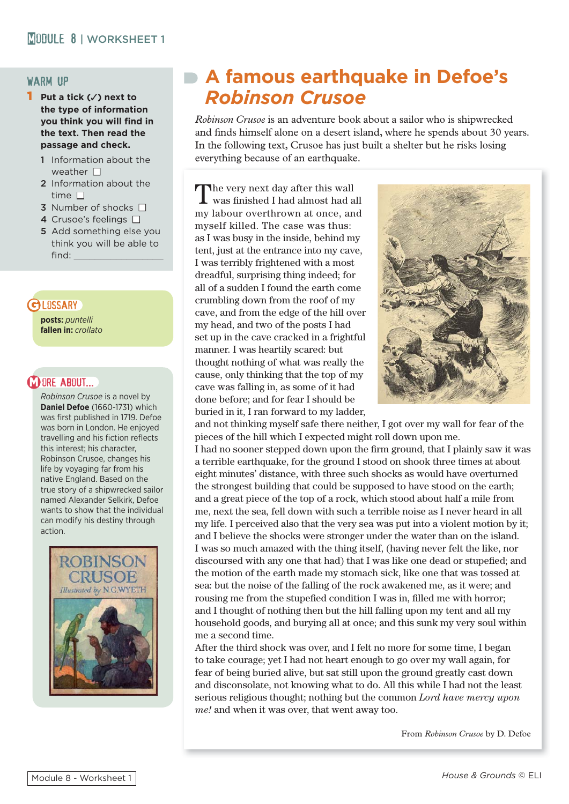#### warm up

- 1 **Put a tick (**✓**) next to the type of information you think you will find in the text. Then read the passage and check.** 
	- 1 Information about the weather  $\Box$
	- 2 Information about the time  $\Box$
	- 3 Number of shocks  $\Box$
	- 4 Crusoe's feelings  $\square$
	- 5 Add something else you think you will be able to find:

## **GLOSSARY**

**posts:** *puntelli* **fallen in:** *crollato*

## **M ORE ABOUT...**

*Robinson Crusoe* is a novel by **Daniel Defoe** (1660-1731) which was first published in 1719. Defoe was born in London. He enjoyed travelling and his fiction reflects this interest; his character, Robinson Crusoe, changes his life by voyaging far from his native England. Based on the true story of a shipwrecked sailor named Alexander Selkirk, Defoe wants to show that the individual can modify his destiny through action.



# **A famous earthquake in Defoe's**  *Robinson Crusoe*

*Robinson Crusoe* is an adventure book about a sailor who is shipwrecked and finds himself alone on a desert island, where he spends about 30 years. In the following text, Crusoe has just built a shelter but he risks losing everything because of an earthquake.

The very next day after this wall was finished I had almost had all my labour overthrown at once, and myself killed. The case was thus: as I was busy in the inside, behind my tent, just at the entrance into my cave, I was terribly frightened with a most dreadful, surprising thing indeed; for all of a sudden I found the earth come crumbling down from the roof of my cave, and from the edge of the hill over my head, and two of the posts I had set up in the cave cracked in a frightful manner. I was heartily scared: but thought nothing of what was really the cause, only thinking that the top of my cave was falling in, as some of it had done before; and for fear I should be buried in it, I ran forward to my ladder,



and not thinking myself safe there neither, I got over my wall for fear of the pieces of the hill which I expected might roll down upon me. I had no sooner stepped down upon the firm ground, that I plainly saw it was a terrible earthquake, for the ground I stood on shook three times at about eight minutes' distance, with three such shocks as would have overturned the strongest building that could be supposed to have stood on the earth; and a great piece of the top of a rock, which stood about half a mile from me, next the sea, fell down with such a terrible noise as I never heard in all my life. I perceived also that the very sea was put into a violent motion by it; and I believe the shocks were stronger under the water than on the island. I was so much amazed with the thing itself, (having never felt the like, nor discoursed with any one that had) that I was like one dead or stupefied; and the motion of the earth made my stomach sick, like one that was tossed at sea: but the noise of the falling of the rock awakened me, as it were; and rousing me from the stupefied condition I was in, filled me with horror; and I thought of nothing then but the hill falling upon my tent and all my household goods, and burying all at once; and this sunk my very soul within me a second time.

After the third shock was over, and I felt no more for some time, I began to take courage; yet I had not heart enough to go over my wall again, for fear of being buried alive, but sat still upon the ground greatly cast down and disconsolate, not knowing what to do. All this while I had not the least serious religious thought; nothing but the common *Lord have mercy upon me!* and when it was over, that went away too.

From *Robinson Crusoe* by D. Defoe